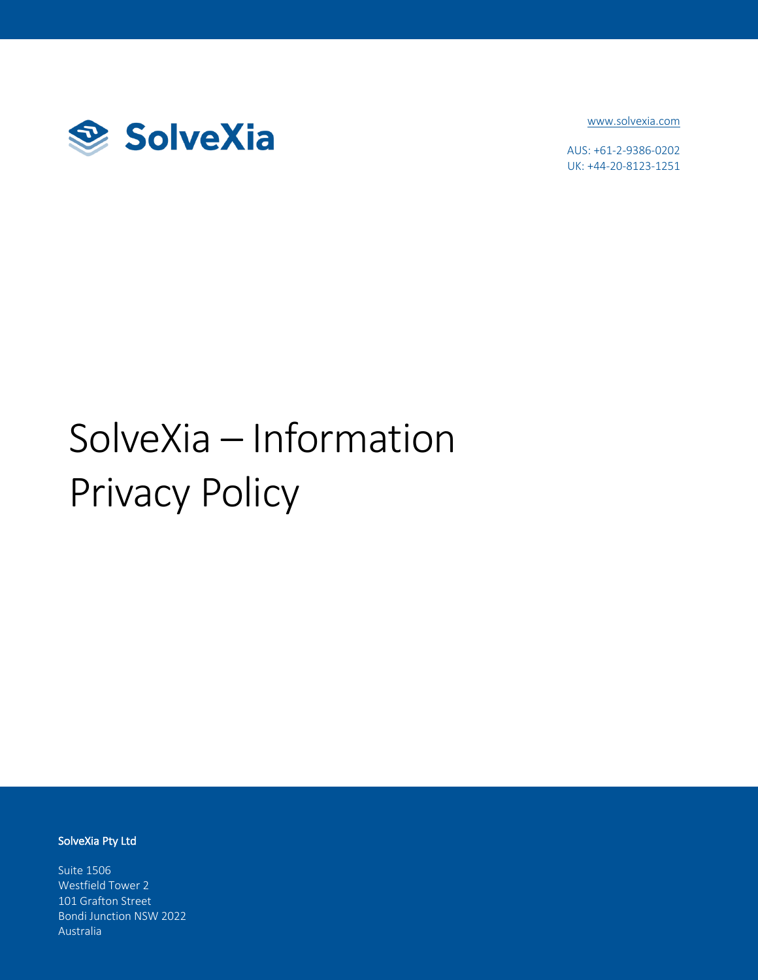

www.solvexia.com

AUS: +61-2-9386-0202 UK: +44-20-8123-1251

# SolveXia – Information Privacy Policy

#### SolveXia Pty Ltd

Suite 1506 Westfield Tower 2 101 Grafton Street Bondi Junction NSW 2022 Australia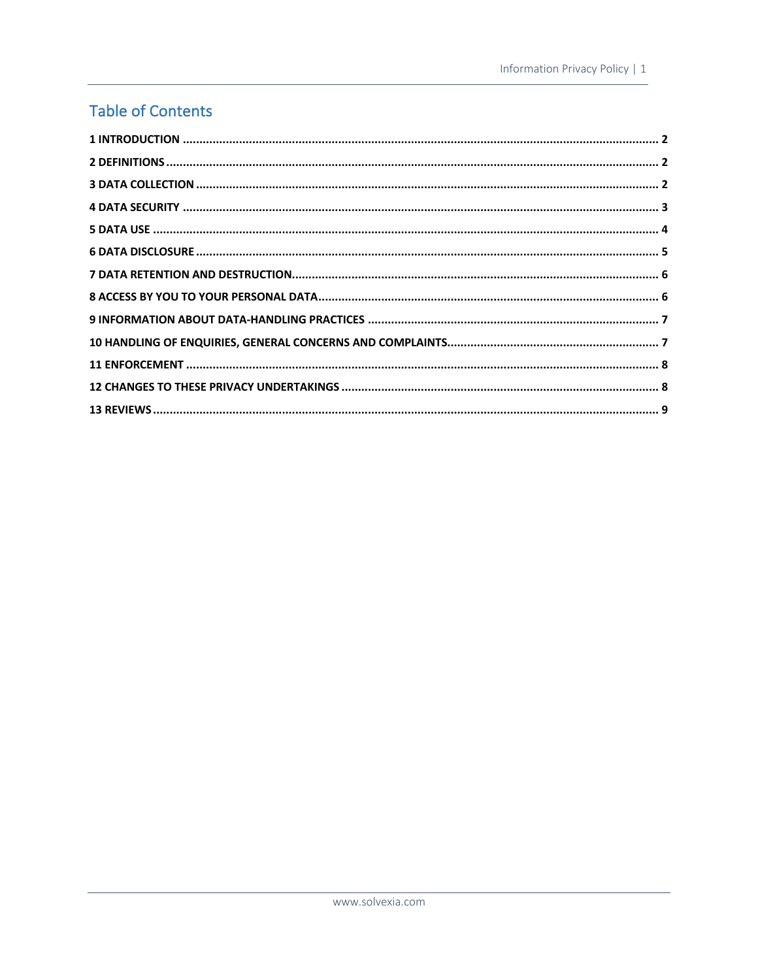#### **Table of Contents**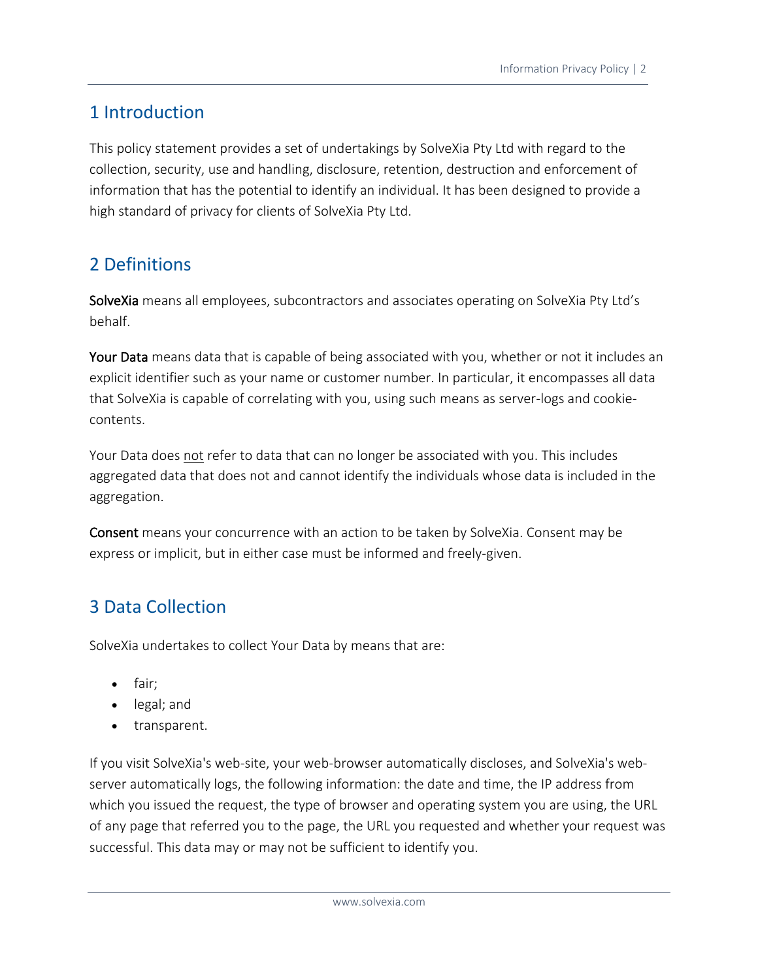# 1 Introduction

This policy statement provides a set of undertakings by SolveXia Pty Ltd with regard to the collection, security, use and handling, disclosure, retention, destruction and enforcement of information that has the potential to identify an individual. It has been designed to provide a high standard of privacy for clients of SolveXia Pty Ltd.

# 2 Definitions

SolveXia means all employees, subcontractors and associates operating on SolveXia Pty Ltd's behalf.

Your Data means data that is capable of being associated with you, whether or not it includes an explicit identifier such as your name or customer number. In particular, it encompasses all data that SolveXia is capable of correlating with you, using such means as server-logs and cookiecontents.

Your Data does not refer to data that can no longer be associated with you. This includes aggregated data that does not and cannot identify the individuals whose data is included in the aggregation.

Consent means your concurrence with an action to be taken by SolveXia. Consent may be express or implicit, but in either case must be informed and freely-given.

# 3 Data Collection

SolveXia undertakes to collect Your Data by means that are:

- fair;
- legal; and
- transparent.

If you visit SolveXia's web-site, your web-browser automatically discloses, and SolveXia's webserver automatically logs, the following information: the date and time, the IP address from which you issued the request, the type of browser and operating system you are using, the URL of any page that referred you to the page, the URL you requested and whether your request was successful. This data may or may not be sufficient to identify you.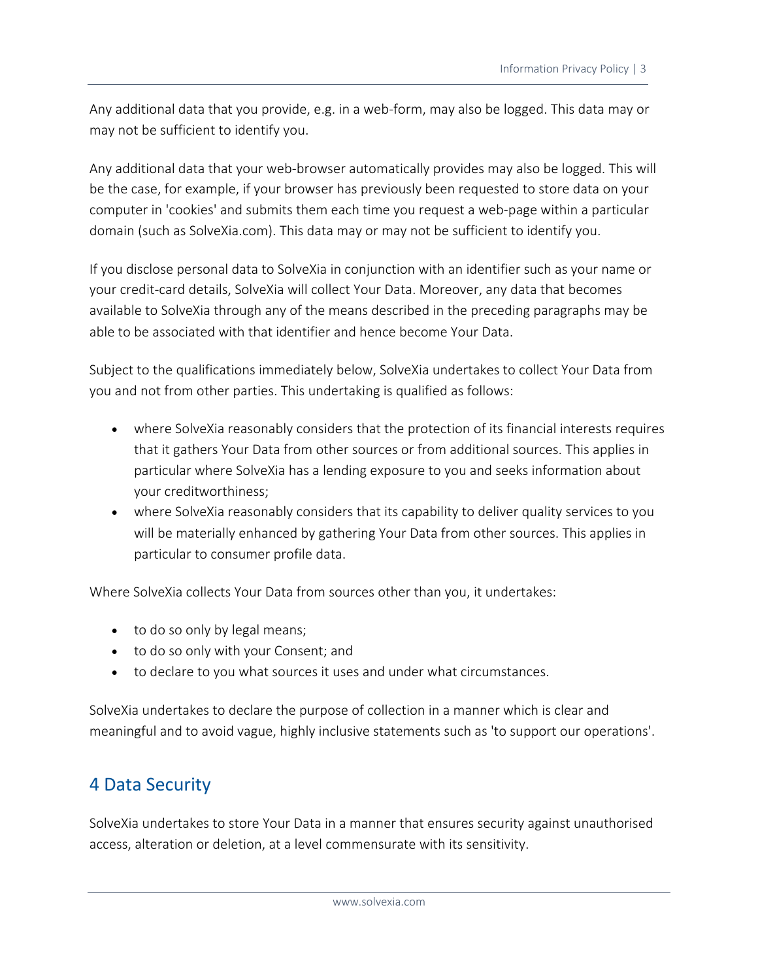Any additional data that you provide, e.g. in a web-form, may also be logged. This data may or may not be sufficient to identify you.

Any additional data that your web-browser automatically provides may also be logged. This will be the case, for example, if your browser has previously been requested to store data on your computer in 'cookies' and submits them each time you request a web-page within a particular domain (such as SolveXia.com). This data may or may not be sufficient to identify you.

If you disclose personal data to SolveXia in conjunction with an identifier such as your name or your credit-card details, SolveXia will collect Your Data. Moreover, any data that becomes available to SolveXia through any of the means described in the preceding paragraphs may be able to be associated with that identifier and hence become Your Data.

Subject to the qualifications immediately below, SolveXia undertakes to collect Your Data from you and not from other parties. This undertaking is qualified as follows:

- where SolveXia reasonably considers that the protection of its financial interests requires that it gathers Your Data from other sources or from additional sources. This applies in particular where SolveXia has a lending exposure to you and seeks information about your creditworthiness;
- where SolveXia reasonably considers that its capability to deliver quality services to you will be materially enhanced by gathering Your Data from other sources. This applies in particular to consumer profile data.

Where SolveXia collects Your Data from sources other than you, it undertakes:

- to do so only by legal means;
- to do so only with your Consent; and
- to declare to you what sources it uses and under what circumstances.

SolveXia undertakes to declare the purpose of collection in a manner which is clear and meaningful and to avoid vague, highly inclusive statements such as 'to support our operations'.

#### 4 Data Security

SolveXia undertakes to store Your Data in a manner that ensures security against unauthorised access, alteration or deletion, at a level commensurate with its sensitivity.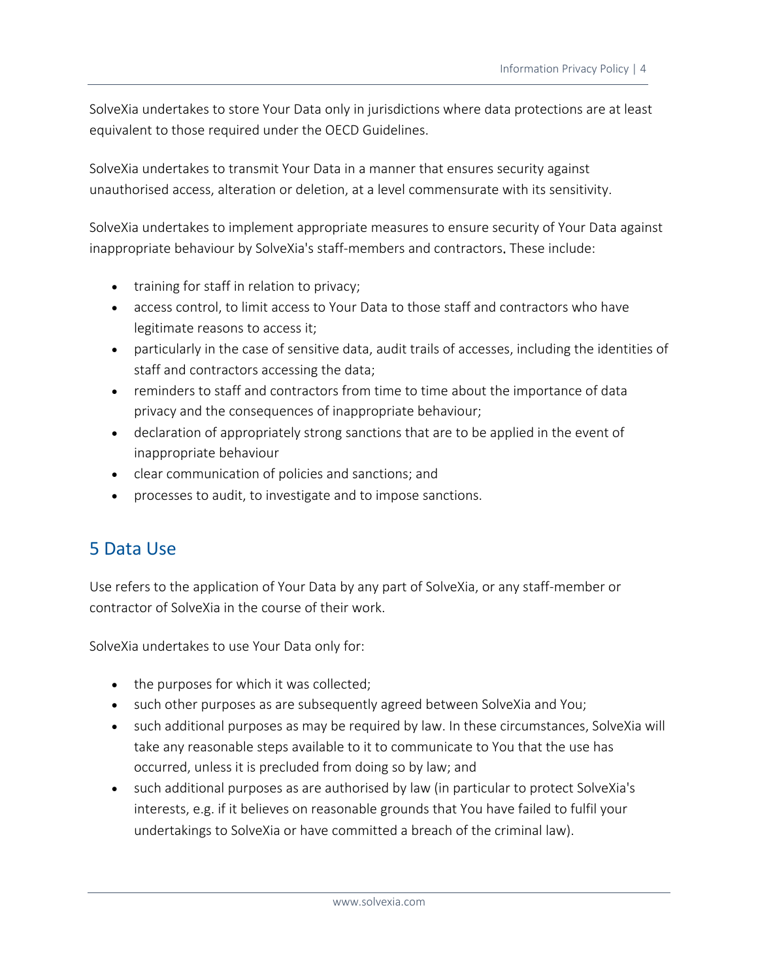SolveXia undertakes to store Your Data only in jurisdictions where data protections are at least equivalent to those required under the OECD Guidelines.

SolveXia undertakes to transmit Your Data in a manner that ensures security against unauthorised access, alteration or deletion, at a level commensurate with its sensitivity.

SolveXia undertakes to implement appropriate measures to ensure security of Your Data against inappropriate behaviour by SolveXia's staff-members and contractors. These include:

- training for staff in relation to privacy;
- access control, to limit access to Your Data to those staff and contractors who have legitimate reasons to access it;
- particularly in the case of sensitive data, audit trails of accesses, including the identities of staff and contractors accessing the data;
- reminders to staff and contractors from time to time about the importance of data privacy and the consequences of inappropriate behaviour;
- declaration of appropriately strong sanctions that are to be applied in the event of inappropriate behaviour
- clear communication of policies and sanctions; and
- processes to audit, to investigate and to impose sanctions.

# 5 Data Use

Use refers to the application of Your Data by any part of SolveXia, or any staff-member or contractor of SolveXia in the course of their work.

SolveXia undertakes to use Your Data only for:

- the purposes for which it was collected;
- such other purposes as are subsequently agreed between SolveXia and You;
- such additional purposes as may be required by law. In these circumstances, SolveXia will take any reasonable steps available to it to communicate to You that the use has occurred, unless it is precluded from doing so by law; and
- such additional purposes as are authorised by law (in particular to protect SolveXia's interests, e.g. if it believes on reasonable grounds that You have failed to fulfil your undertakings to SolveXia or have committed a breach of the criminal law).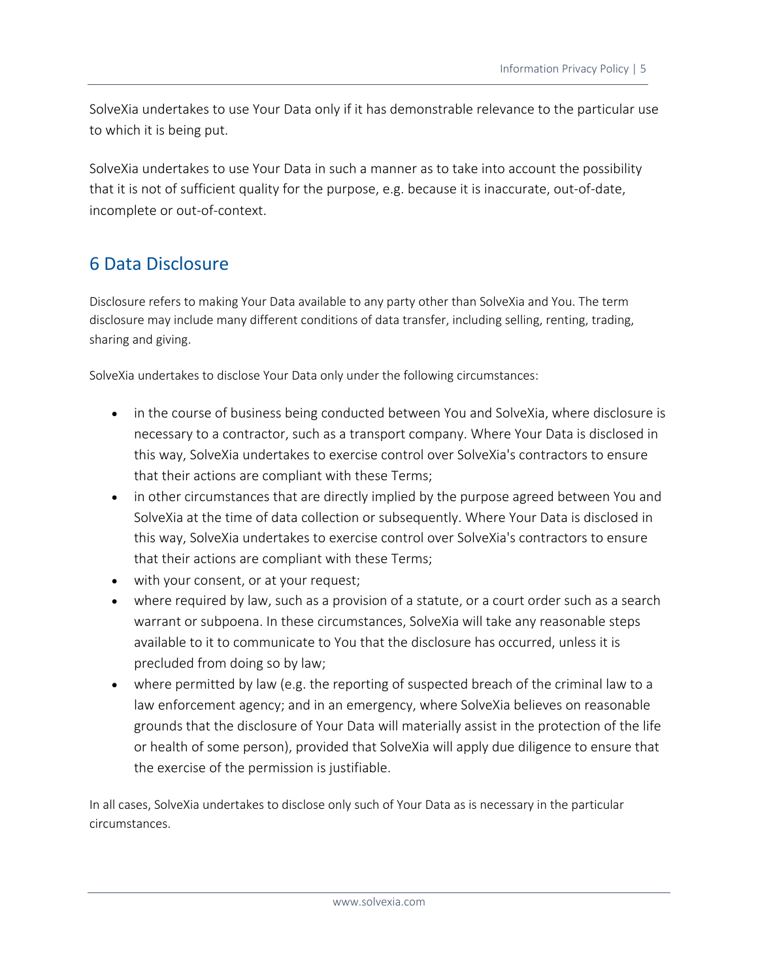SolveXia undertakes to use Your Data only if it has demonstrable relevance to the particular use to which it is being put.

SolveXia undertakes to use Your Data in such a manner as to take into account the possibility that it is not of sufficient quality for the purpose, e.g. because it is inaccurate, out-of-date, incomplete or out-of-context.

#### 6 Data Disclosure

Disclosure refers to making Your Data available to any party other than SolveXia and You. The term disclosure may include many different conditions of data transfer, including selling, renting, trading, sharing and giving.

SolveXia undertakes to disclose Your Data only under the following circumstances:

- in the course of business being conducted between You and SolveXia, where disclosure is necessary to a contractor, such as a transport company. Where Your Data is disclosed in this way, SolveXia undertakes to exercise control over SolveXia's contractors to ensure that their actions are compliant with these Terms;
- in other circumstances that are directly implied by the purpose agreed between You and SolveXia at the time of data collection or subsequently. Where Your Data is disclosed in this way, SolveXia undertakes to exercise control over SolveXia's contractors to ensure that their actions are compliant with these Terms;
- with your consent, or at your request;
- where required by law, such as a provision of a statute, or a court order such as a search warrant or subpoena. In these circumstances, SolveXia will take any reasonable steps available to it to communicate to You that the disclosure has occurred, unless it is precluded from doing so by law;
- where permitted by law (e.g. the reporting of suspected breach of the criminal law to a law enforcement agency; and in an emergency, where SolveXia believes on reasonable grounds that the disclosure of Your Data will materially assist in the protection of the life or health of some person), provided that SolveXia will apply due diligence to ensure that the exercise of the permission is justifiable.

In all cases, SolveXia undertakes to disclose only such of Your Data as is necessary in the particular circumstances.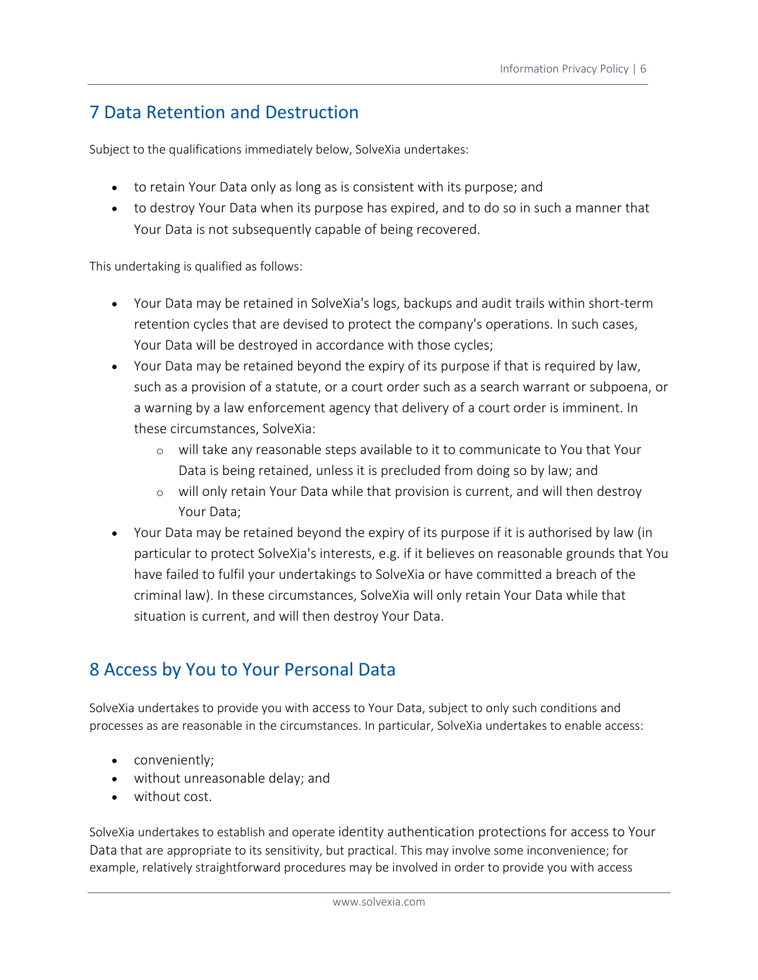### 7 Data Retention and Destruction

Subject to the qualifications immediately below, SolveXia undertakes:

- to retain Your Data only as long as is consistent with its purpose; and
- to destroy Your Data when its purpose has expired, and to do so in such a manner that Your Data is not subsequently capable of being recovered.

This undertaking is qualified as follows:

- Your Data may be retained in SolveXia's logs, backups and audit trails within short-term retention cycles that are devised to protect the company's operations. In such cases, Your Data will be destroyed in accordance with those cycles;
- Your Data may be retained beyond the expiry of its purpose if that is required by law, such as a provision of a statute, or a court order such as a search warrant or subpoena, or a warning by a law enforcement agency that delivery of a court order is imminent. In these circumstances, SolveXia:
	- o will take any reasonable steps available to it to communicate to You that Your Data is being retained, unless it is precluded from doing so by law; and
	- o will only retain Your Data while that provision is current, and will then destroy Your Data;
- Your Data may be retained beyond the expiry of its purpose if it is authorised by law (in particular to protect SolveXia's interests, e.g. if it believes on reasonable grounds that You have failed to fulfil your undertakings to SolveXia or have committed a breach of the criminal law). In these circumstances, SolveXia will only retain Your Data while that situation is current, and will then destroy Your Data.

# 8 Access by You to Your Personal Data

SolveXia undertakes to provide you with access to Your Data, subject to only such conditions and processes as are reasonable in the circumstances. In particular, SolveXia undertakes to enable access:

- conveniently;
- without unreasonable delay; and
- without cost.

SolveXia undertakes to establish and operate identity authentication protections for access to Your Data that are appropriate to its sensitivity, but practical. This may involve some inconvenience; for example, relatively straightforward procedures may be involved in order to provide you with access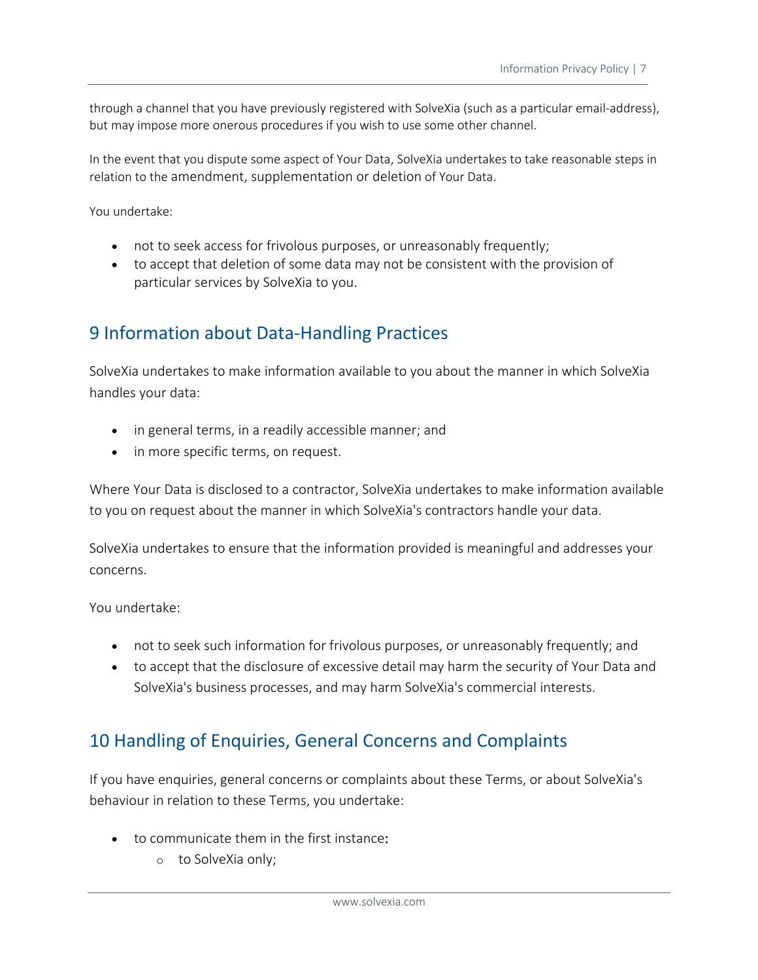through a channel that you have previously registered with SolveXia (such as a particular email-address), but may impose more onerous procedures if you wish to use some other channel.

In the event that you dispute some aspect of Your Data, SolveXia undertakes to take reasonable steps in relation to the amendment, supplementation or deletion of Your Data.

You undertake:

- not to seek access for frivolous purposes, or unreasonably frequently;
- to accept that deletion of some data may not be consistent with the provision of particular services by SolveXia to you.

#### 9 Information about Data-Handling Practices

SolveXia undertakes to make information available to you about the manner in which SolveXia handles your data:

- in general terms, in a readily accessible manner; and
- in more specific terms, on request.

Where Your Data is disclosed to a contractor, SolveXia undertakes to make information available to you on request about the manner in which SolveXia's contractors handle your data.

SolveXia undertakes to ensure that the information provided is meaningful and addresses your concerns.

You undertake:

- not to seek such information for frivolous purposes, or unreasonably frequently; and
- to accept that the disclosure of excessive detail may harm the security of Your Data and SolveXia's business processes, and may harm SolveXia's commercial interests.

#### 10 Handling of Enquiries, General Concerns and Complaints

If you have enquiries, general concerns or complaints about these Terms, or about SolveXia's behaviour in relation to these Terms, you undertake:

- to communicate them in the first instance:
	- o to SolveXia only;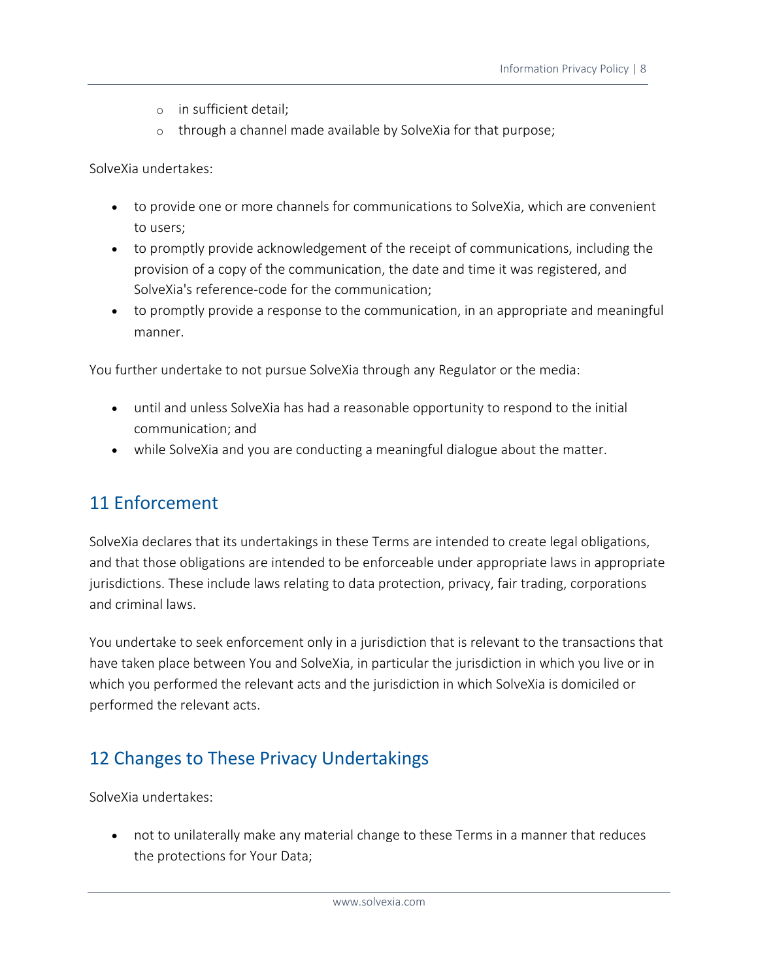- o in sufficient detail;
- o through a channel made available by SolveXia for that purpose;

SolveXia undertakes:

- to provide one or more channels for communications to SolveXia, which are convenient to users;
- to promptly provide acknowledgement of the receipt of communications, including the provision of a copy of the communication, the date and time it was registered, and SolveXia's reference-code for the communication;
- to promptly provide a response to the communication, in an appropriate and meaningful manner.

You further undertake to not pursue SolveXia through any Regulator or the media:

- until and unless SolveXia has had a reasonable opportunity to respond to the initial communication; and
- while SolveXia and you are conducting a meaningful dialogue about the matter.

#### 11 Enforcement

SolveXia declares that its undertakings in these Terms are intended to create legal obligations, and that those obligations are intended to be enforceable under appropriate laws in appropriate jurisdictions. These include laws relating to data protection, privacy, fair trading, corporations and criminal laws.

You undertake to seek enforcement only in a jurisdiction that is relevant to the transactions that have taken place between You and SolveXia, in particular the jurisdiction in which you live or in which you performed the relevant acts and the jurisdiction in which SolveXia is domiciled or performed the relevant acts.

# 12 Changes to These Privacy Undertakings

SolveXia undertakes:

• not to unilaterally make any material change to these Terms in a manner that reduces the protections for Your Data;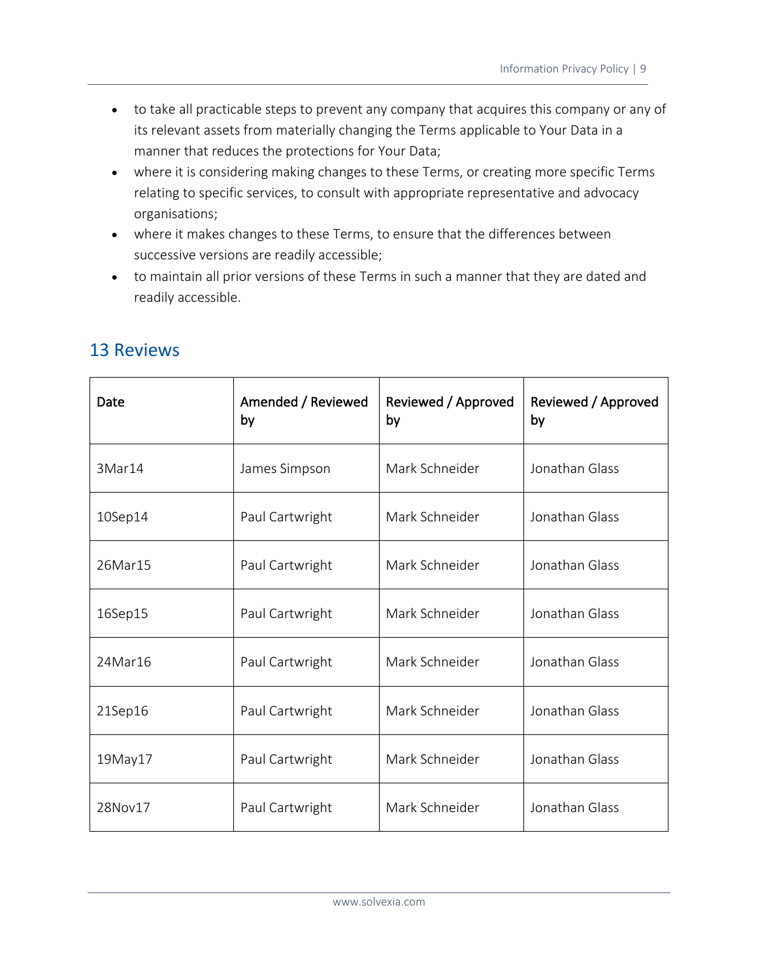- to take all practicable steps to prevent any company that acquires this company or any of its relevant assets from materially changing the Terms applicable to Your Data in a manner that reduces the protections for Your Data;
- where it is considering making changes to these Terms, or creating more specific Terms relating to specific services, to consult with appropriate representative and advocacy organisations;
- where it makes changes to these Terms, to ensure that the differences between successive versions are readily accessible;
- to maintain all prior versions of these Terms in such a manner that they are dated and readily accessible.

| Date    | Amended / Reviewed<br>by | Reviewed / Approved<br>by | Reviewed / Approved<br>by |
|---------|--------------------------|---------------------------|---------------------------|
| 3Mar14  | James Simpson            | Mark Schneider            | Jonathan Glass            |
| 10Sep14 | Paul Cartwright          | Mark Schneider            | Jonathan Glass            |
| 26Mar15 | Paul Cartwright          | Mark Schneider            | Jonathan Glass            |
| 16Sep15 | Paul Cartwright          | Mark Schneider            | Jonathan Glass            |
| 24Mar16 | Paul Cartwright          | Mark Schneider            | Jonathan Glass            |
| 21Sep16 | Paul Cartwright          | Mark Schneider            | Jonathan Glass            |
| 19May17 | Paul Cartwright          | Mark Schneider            | Jonathan Glass            |
| 28Nov17 | Paul Cartwright          | Mark Schneider            | Jonathan Glass            |

#### 13 Reviews